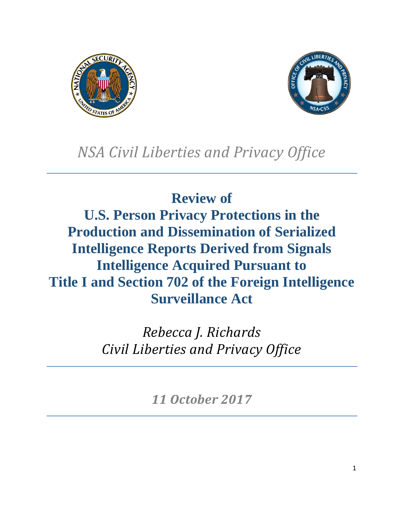



# *NSA Civil Liberties and Privacy Office*

**Review of U.S. Person Privacy Protections in the Production and Dissemination of Serialized Intelligence Reports Derived from Signals Intelligence Acquired Pursuant to Title I and Section 702 of the Foreign Intelligence Surveillance Act** 

> *Rebecca J. Richards Civil Liberties and Privacy Office*

> > *11 October 2017*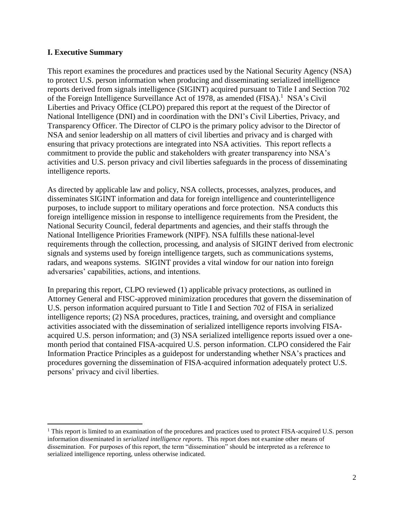#### **I. Executive Summary**

This report examines the procedures and practices used by the National Security Agency (NSA) to protect U.S. person information when producing and disseminating serialized intelligence reports derived from signals intelligence (SIGINT) acquired pursuant to Title I and Section 702 of the Foreign Intelligence Surveillance Act of 1978, as amended (FISA).<sup>1</sup> NSA's Civil Liberties and Privacy Office (CLPO) prepared this report at the request of the Director of National Intelligence (DNI) and in coordination with the DNI's Civil Liberties, Privacy, and Transparency Officer. The Director of CLPO is the primary policy advisor to the Director of NSA and senior leadership on all matters of civil liberties and privacy and is charged with ensuring that privacy protections are integrated into NSA activities. This report reflects a commitment to provide the public and stakeholders with greater transparency into NSA's activities and U.S. person privacy and civil liberties safeguards in the process of disseminating intelligence reports.

As directed by applicable law and policy, NSA collects, processes, analyzes, produces, and disseminates SIGINT information and data for foreign intelligence and counterintelligence purposes, to include support to military operations and force protection. NSA conducts this foreign intelligence mission in response to intelligence requirements from the President, the National Security Council, federal departments and agencies, and their staffs through the National Intelligence Priorities Framework (NIPF). NSA fulfills these national-level requirements through the collection, processing, and analysis of SIGINT derived from electronic signals and systems used by foreign intelligence targets, such as communications systems, radars, and weapons systems. SIGINT provides a vital window for our nation into foreign adversaries' capabilities, actions, and intentions.

In preparing this report, CLPO reviewed (1) applicable privacy protections, as outlined in Attorney General and FISC-approved minimization procedures that govern the dissemination of U.S. person information acquired pursuant to Title I and Section 702 of FISA in serialized intelligence reports; (2) NSA procedures, practices, training, and oversight and compliance activities associated with the dissemination of serialized intelligence reports involving FISAacquired U.S. person information; and (3) NSA serialized intelligence reports issued over a onemonth period that contained FISA-acquired U.S. person information. CLPO considered the Fair Information Practice Principles as a guidepost for understanding whether NSA's practices and procedures governing the dissemination of FISA-acquired information adequately protect U.S. persons' privacy and civil liberties.

<sup>&</sup>lt;sup>1</sup> This report is limited to an examination of the procedures and practices used to protect FISA-acquired U.S. person information disseminated in *serialized intelligence reports*. This report does not examine other means of dissemination. For purposes of this report, the term "dissemination" should be interpreted as a reference to serialized intelligence reporting, unless otherwise indicated.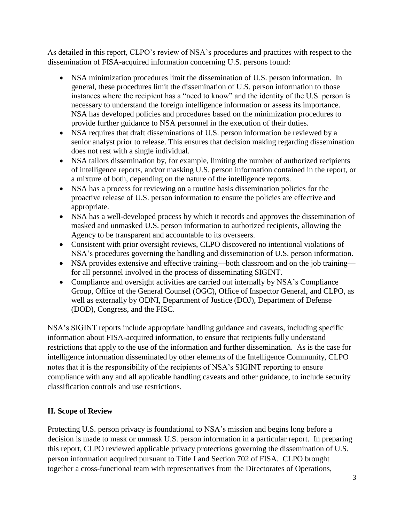As detailed in this report, CLPO's review of NSA's procedures and practices with respect to the dissemination of FISA-acquired information concerning U.S. persons found:

- NSA minimization procedures limit the dissemination of U.S. person information. In general, these procedures limit the dissemination of U.S. person information to those instances where the recipient has a "need to know" and the identity of the U.S. person is necessary to understand the foreign intelligence information or assess its importance. NSA has developed policies and procedures based on the minimization procedures to provide further guidance to NSA personnel in the execution of their duties.
- NSA requires that draft disseminations of U.S. person information be reviewed by a senior analyst prior to release. This ensures that decision making regarding dissemination does not rest with a single individual.
- NSA tailors dissemination by, for example, limiting the number of authorized recipients of intelligence reports, and/or masking U.S. person information contained in the report, or a mixture of both, depending on the nature of the intelligence reports.
- NSA has a process for reviewing on a routine basis dissemination policies for the proactive release of U.S. person information to ensure the policies are effective and appropriate.
- NSA has a well-developed process by which it records and approves the dissemination of masked and unmasked U.S. person information to authorized recipients, allowing the Agency to be transparent and accountable to its overseers.
- Consistent with prior oversight reviews, CLPO discovered no intentional violations of NSA's procedures governing the handling and dissemination of U.S. person information.
- NSA provides extensive and effective training—both classroom and on the job training for all personnel involved in the process of disseminating SIGINT.
- Compliance and oversight activities are carried out internally by NSA's Compliance Group, Office of the General Counsel (OGC), Office of Inspector General, and CLPO, as well as externally by ODNI, Department of Justice (DOJ), Department of Defense (DOD), Congress, and the FISC.

NSA's SIGINT reports include appropriate handling guidance and caveats, including specific information about FISA-acquired information, to ensure that recipients fully understand restrictions that apply to the use of the information and further dissemination. As is the case for intelligence information disseminated by other elements of the Intelligence Community, CLPO notes that it is the responsibility of the recipients of NSA's SIGINT reporting to ensure compliance with any and all applicable handling caveats and other guidance, to include security classification controls and use restrictions.

# **II. Scope of Review**

Protecting U.S. person privacy is foundational to NSA's mission and begins long before a decision is made to mask or unmask U.S. person information in a particular report. In preparing this report, CLPO reviewed applicable privacy protections governing the dissemination of U.S. person information acquired pursuant to Title I and Section 702 of FISA. CLPO brought together a cross-functional team with representatives from the Directorates of Operations,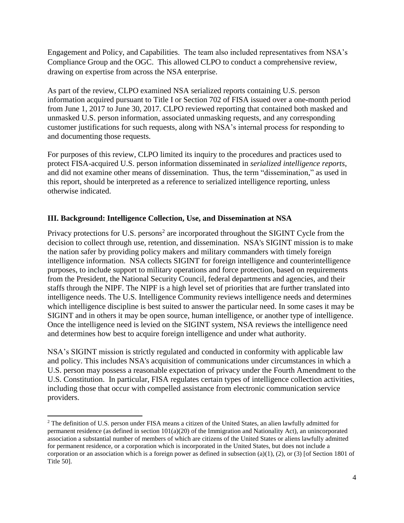Engagement and Policy, and Capabilities. The team also included representatives from NSA's Compliance Group and the OGC. This allowed CLPO to conduct a comprehensive review, drawing on expertise from across the NSA enterprise.

As part of the review, CLPO examined NSA serialized reports containing U.S. person information acquired pursuant to Title I or Section 702 of FISA issued over a one-month period from June 1, 2017 to June 30, 2017. CLPO reviewed reporting that contained both masked and unmasked U.S. person information, associated unmasking requests, and any corresponding customer justifications for such requests, along with NSA's internal process for responding to and documenting those requests.

For purposes of this review, CLPO limited its inquiry to the procedures and practices used to protect FISA-acquired U.S. person information disseminated in *serialized intelligence reports*, and did not examine other means of dissemination. Thus, the term "dissemination," as used in this report, should be interpreted as a reference to serialized intelligence reporting, unless otherwise indicated.

## **III. Background: Intelligence Collection, Use, and Dissemination at NSA**

Privacy protections for U.S. persons<sup>2</sup> are incorporated throughout the SIGINT Cycle from the decision to collect through use, retention, and dissemination. NSA's SIGINT mission is to make the nation safer by providing policy makers and military commanders with timely foreign intelligence information. NSA collects SIGINT for foreign intelligence and counterintelligence purposes, to include support to military operations and force protection, based on requirements from the President, the National Security Council, federal departments and agencies, and their staffs through the NIPF. The NIPF is a high level set of priorities that are further translated into intelligence needs. The U.S. Intelligence Community reviews intelligence needs and determines which intelligence discipline is best suited to answer the particular need. In some cases it may be SIGINT and in others it may be open source, human intelligence, or another type of intelligence. Once the intelligence need is levied on the SIGINT system, NSA reviews the intelligence need and determines how best to acquire foreign intelligence and under what authority.

NSA's SIGINT mission is strictly regulated and conducted in conformity with applicable law and policy. This includes NSA's acquisition of communications under circumstances in which a U.S. person may possess a reasonable expectation of privacy under the Fourth Amendment to the U.S. Constitution. In particular, FISA regulates certain types of intelligence collection activities, including those that occur with compelled assistance from electronic communication service providers.

<sup>&</sup>lt;sup>2</sup> The definition of U.S. person under FISA means a citizen of the United States, an alien lawfully admitted for permanent residence (as defined in section 101(a)(20) of the Immigration and Nationality Act), an unincorporated association a substantial number of members of which are citizens of the United States or aliens lawfully admitted for permanent residence, or a corporation which is incorporated in the United States, but does not include a corporation or an association which is a foreign power as defined in subsection (a)(1), (2), or (3) [of Section 1801 of Title 50].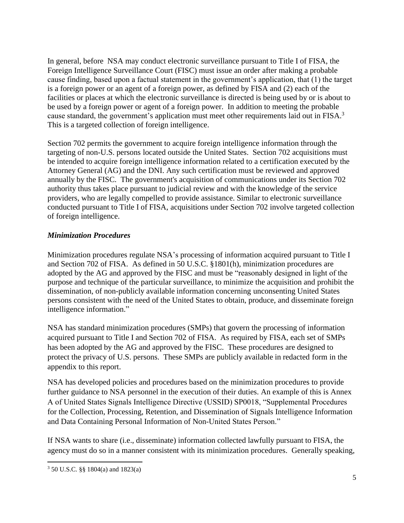In general, before NSA may conduct electronic surveillance pursuant to Title I of FISA, the Foreign Intelligence Surveillance Court (FISC) must issue an order after making a probable cause finding, based upon a factual statement in the government's application, that (1) the target is a foreign power or an agent of a foreign power, as defined by FISA and (2) each of the facilities or places at which the electronic surveillance is directed is being used by or is about to be used by a foreign power or agent of a foreign power. In addition to meeting the probable cause standard, the government's application must meet other requirements laid out in FISA.<sup>3</sup> This is a targeted collection of foreign intelligence.

Section 702 permits the government to acquire foreign intelligence information through the targeting of non-U.S. persons located outside the United States. Section 702 acquisitions must be intended to acquire foreign intelligence information related to a certification executed by the Attorney General (AG) and the DNI. Any such certification must be reviewed and approved annually by the FISC. The government's acquisition of communications under its Section 702 authority thus takes place pursuant to judicial review and with the knowledge of the service providers, who are legally compelled to provide assistance. Similar to electronic surveillance conducted pursuant to Title I of FISA, acquisitions under Section 702 involve targeted collection of foreign intelligence.

## *Minimization Procedures*

Minimization procedures regulate NSA's processing of information acquired pursuant to Title I and Section 702 of FISA. As defined in 50 U.S.C. §1801(h), minimization procedures are adopted by the AG and approved by the FISC and must be "reasonably designed in light of the purpose and technique of the particular surveillance, to minimize the acquisition and prohibit the dissemination, of non-publicly available information concerning unconsenting United States persons consistent with the need of the United States to obtain, produce, and disseminate foreign intelligence information."

NSA has standard minimization procedures (SMPs) that govern the processing of information acquired pursuant to Title I and Section 702 of FISA. As required by FISA, each set of SMPs has been adopted by the AG and approved by the FISC. These procedures are designed to protect the privacy of U.S. persons. These SMPs are publicly available in redacted form in the appendix to this report.

NSA has developed policies and procedures based on the minimization procedures to provide further guidance to NSA personnel in the execution of their duties. An example of this is Annex A of United States Signals Intelligence Directive (USSID) SP0018, "Supplemental Procedures for the Collection, Processing, Retention, and Dissemination of Signals Intelligence Information and Data Containing Personal Information of Non-United States Person."

If NSA wants to share (i.e., disseminate) information collected lawfully pursuant to FISA, the agency must do so in a manner consistent with its minimization procedures. Generally speaking,

<sup>3</sup> 50 U.S.C. §§ 1804(a) and 1823(a)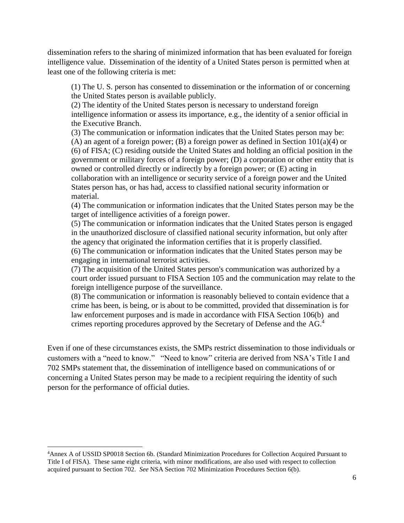dissemination refers to the sharing of minimized information that has been evaluated for foreign intelligence value. Dissemination of the identity of a United States person is permitted when at least one of the following criteria is met:

(1) The U. S. person has consented to dissemination or the information of or concerning the United States person is available publicly.

(2) The identity of the United States person is necessary to understand foreign intelligence information or assess its importance, e.g., the identity of a senior official in the Executive Branch.

(3) The communication or information indicates that the United States person may be: (A) an agent of a foreign power; (B) a foreign power as defined in Section  $101(a)(4)$  or (6) of FISA; (C) residing outside the United States and holding an official position in the government or military forces of a foreign power; (D) a corporation or other entity that is owned or controlled directly or indirectly by a foreign power; or (E) acting in collaboration with an intelligence or security service of a foreign power and the United States person has, or has had, access to classified national security information or material.

(4) The communication or information indicates that the United States person may be the target of intelligence activities of a foreign power.

(5) The communication or information indicates that the United States person is engaged in the unauthorized disclosure of classified national security information, but only after the agency that originated the information certifies that it is properly classified.

(6) The communication or information indicates that the United States person may be engaging in international terrorist activities.

(7) The acquisition of the United States person's communication was authorized by a court order issued pursuant to FISA Section 105 and the communication may relate to the foreign intelligence purpose of the surveillance.

(8) The communication or information is reasonably believed to contain evidence that a crime has been, is being, or is about to be committed, provided that dissemination is for law enforcement purposes and is made in accordance with FISA Section 106(b) and crimes reporting procedures approved by the Secretary of Defense and the AG. 4

Even if one of these circumstances exists, the SMPs restrict dissemination to those individuals or customers with a "need to know." "Need to know" criteria are derived from NSA's Title I and 702 SMPs statement that, the dissemination of intelligence based on communications of or concerning a United States person may be made to a recipient requiring the identity of such person for the performance of official duties.

<sup>4</sup>Annex A of USSID SP0018 Section 6b. (Standard Minimization Procedures for Collection Acquired Pursuant to Title I of FISA). These same eight criteria, with minor modifications, are also used with respect to collection acquired pursuant to Section 702. *See* NSA Section 702 Minimization Procedures Section 6(b).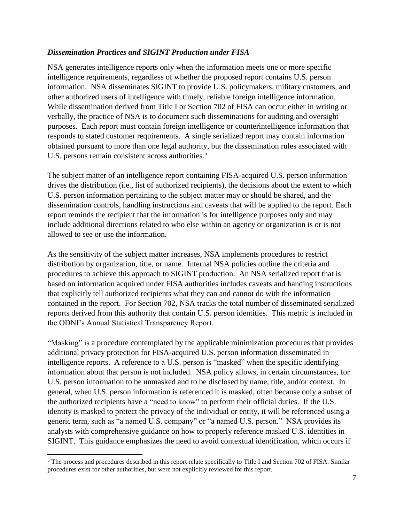### *Dissemination Practices and SIGINT Production under FISA*

NSA generates intelligence reports only when the information meets one or more specific intelligence requirements, regardless of whether the proposed report contains U.S. person information. NSA disseminates SIGINT to provide U.S. policymakers, military customers, and other authorized users of intelligence with timely, reliable foreign intelligence information. While dissemination derived from Title I or Section 702 of FISA can occur either in writing or verbally, the practice of NSA is to document such disseminations for auditing and oversight purposes. Each report must contain foreign intelligence or counterintelligence information that responds to stated customer requirements. A single serialized report may contain information obtained pursuant to more than one legal authority, but the dissemination rules associated with U.S. persons remain consistent across authorities.<sup>5</sup>

The subject matter of an intelligence report containing FISA-acquired U.S. person information drives the distribution (i.e., list of authorized recipients), the decisions about the extent to which U.S. person information pertaining to the subject matter may or should be shared, and the dissemination controls, handling instructions and caveats that will be applied to the report. Each report reminds the recipient that the information is for intelligence purposes only and may include additional directions related to who else within an agency or organization is or is not allowed to see or use the information.

As the sensitivity of the subject matter increases, NSA implements procedures to restrict distribution by organization, title, or name. Internal NSA policies outline the criteria and procedures to achieve this approach to SIGINT production. An NSA serialized report that is based on information acquired under FISA authorities includes caveats and handing instructions that explicitly tell authorized recipients what they can and cannot do with the information contained in the report. For Section 702, NSA tracks the total number of disseminated serialized reports derived from this authority that contain U.S. person identities. This metric is included in the ODNI's Annual Statistical Transparency Report.

"Masking" is a procedure contemplated by the applicable minimization procedures that provides additional privacy protection for FISA-acquired U.S. person information disseminated in intelligence reports. A reference to a U.S. person is "masked" when the specific identifying information about that person is not included. NSA policy allows, in certain circumstances, for U.S. person information to be unmasked and to be disclosed by name, title, and/or context. In general, when U.S. person information is referenced it is masked, often because only a subset of the authorized recipients have a "need to know" to perform their official duties. If the U.S. identity is masked to protect the privacy of the individual or entity, it will be referenced using a generic term, such as "a named U.S. company" or "a named U.S. person." NSA provides its analysts with comprehensive guidance on how to properly reference masked U.S. identities in SIGINT. This guidance emphasizes the need to avoid contextual identification, which occurs if

 $<sup>5</sup>$  The process and procedures described in this report relate specifically to Title I and Section 702 of FISA. Similar</sup> procedures exist for other authorities, but were not explicitly reviewed for this report.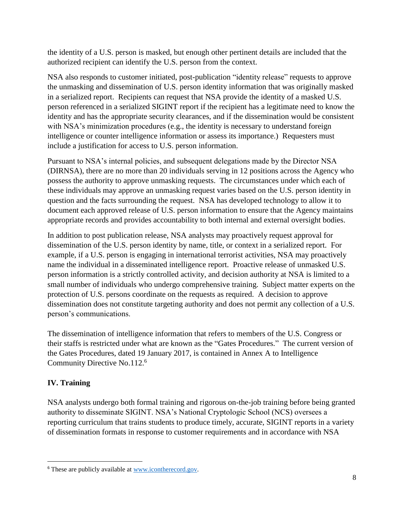the identity of a U.S. person is masked, but enough other pertinent details are included that the authorized recipient can identify the U.S. person from the context.

NSA also responds to customer initiated, post-publication "identity release" requests to approve the unmasking and dissemination of U.S. person identity information that was originally masked in a serialized report. Recipients can request that NSA provide the identity of a masked U.S. person referenced in a serialized SIGINT report if the recipient has a legitimate need to know the identity and has the appropriate security clearances, and if the dissemination would be consistent with NSA's minimization procedures (e.g., the identity is necessary to understand foreign intelligence or counter intelligence information or assess its importance.) Requesters must include a justification for access to U.S. person information.

Pursuant to NSA's internal policies, and subsequent delegations made by the Director NSA (DIRNSA), there are no more than 20 individuals serving in 12 positions across the Agency who possess the authority to approve unmasking requests. The circumstances under which each of these individuals may approve an unmasking request varies based on the U.S. person identity in question and the facts surrounding the request. NSA has developed technology to allow it to document each approved release of U.S. person information to ensure that the Agency maintains appropriate records and provides accountability to both internal and external oversight bodies.

In addition to post publication release, NSA analysts may proactively request approval for dissemination of the U.S. person identity by name, title, or context in a serialized report. For example, if a U.S. person is engaging in international terrorist activities, NSA may proactively name the individual in a disseminated intelligence report. Proactive release of unmasked U.S. person information is a strictly controlled activity, and decision authority at NSA is limited to a small number of individuals who undergo comprehensive training. Subject matter experts on the protection of U.S. persons coordinate on the requests as required. A decision to approve dissemination does not constitute targeting authority and does not permit any collection of a U.S. person's communications.

The dissemination of intelligence information that refers to members of the U.S. Congress or their staffs is restricted under what are known as the "Gates Procedures." The current version of the Gates Procedures, dated 19 January 2017, is contained in Annex A to Intelligence Community Directive No.112.<sup>6</sup>

# **IV. Training**

NSA analysts undergo both formal training and rigorous on-the-job training before being granted authority to disseminate SIGINT. NSA's National Cryptologic School (NCS) oversees a reporting curriculum that trains students to produce timely, accurate, SIGINT reports in a variety of dissemination formats in response to customer requirements and in accordance with NSA

<sup>6</sup> These are publicly available at [www.icontherecord.gov.](http://www.icontherecord.gov/)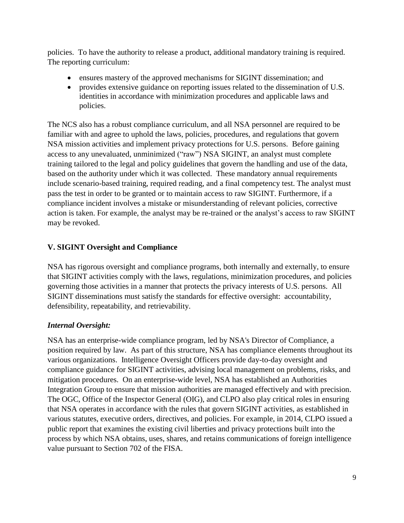policies. To have the authority to release a product, additional mandatory training is required. The reporting curriculum:

- ensures mastery of the approved mechanisms for SIGINT dissemination; and
- provides extensive guidance on reporting issues related to the dissemination of U.S. identities in accordance with minimization procedures and applicable laws and policies.

The NCS also has a robust compliance curriculum, and all NSA personnel are required to be familiar with and agree to uphold the laws, policies, procedures, and regulations that govern NSA mission activities and implement privacy protections for U.S. persons. Before gaining access to any unevaluated, unminimized ("raw") NSA SIGINT, an analyst must complete training tailored to the legal and policy guidelines that govern the handling and use of the data, based on the authority under which it was collected. These mandatory annual requirements include scenario-based training, required reading, and a final competency test. The analyst must pass the test in order to be granted or to maintain access to raw SIGINT. Furthermore, if a compliance incident involves a mistake or misunderstanding of relevant policies, corrective action is taken. For example, the analyst may be re-trained or the analyst's access to raw SIGINT may be revoked.

# **V. SIGINT Oversight and Compliance**

NSA has rigorous oversight and compliance programs, both internally and externally, to ensure that SIGINT activities comply with the laws, regulations, minimization procedures, and policies governing those activities in a manner that protects the privacy interests of U.S. persons. All SIGINT disseminations must satisfy the standards for effective oversight: accountability, defensibility, repeatability, and retrievability.

# *Internal Oversight:*

NSA has an enterprise-wide compliance program, led by NSA's Director of Compliance, a position required by law. As part of this structure, NSA has compliance elements throughout its various organizations. Intelligence Oversight Officers provide day-to-day oversight and compliance guidance for SIGINT activities, advising local management on problems, risks, and mitigation procedures. On an enterprise-wide level, NSA has established an Authorities Integration Group to ensure that mission authorities are managed effectively and with precision. The OGC, Office of the Inspector General (OIG), and CLPO also play critical roles in ensuring that NSA operates in accordance with the rules that govern SIGINT activities, as established in various statutes, executive orders, directives, and policies. For example, in 2014, CLPO issued a public report that examines the existing civil liberties and privacy protections built into the process by which NSA obtains, uses, shares, and retains communications of foreign intelligence value pursuant to Section 702 of the FISA.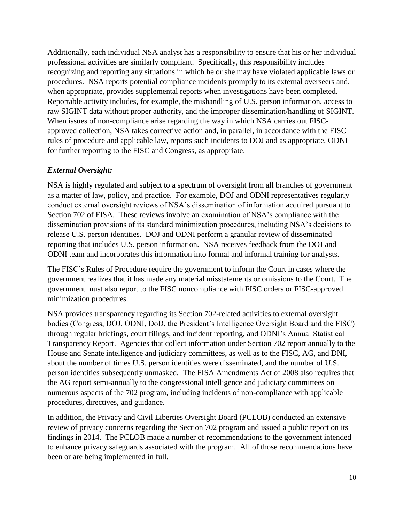Additionally, each individual NSA analyst has a responsibility to ensure that his or her individual professional activities are similarly compliant. Specifically, this responsibility includes recognizing and reporting any situations in which he or she may have violated applicable laws or procedures. NSA reports potential compliance incidents promptly to its external overseers and, when appropriate, provides supplemental reports when investigations have been completed. Reportable activity includes, for example, the mishandling of U.S. person information, access to raw SIGINT data without proper authority, and the improper dissemination/handling of SIGINT. When issues of non-compliance arise regarding the way in which NSA carries out FISCapproved collection, NSA takes corrective action and, in parallel, in accordance with the FISC rules of procedure and applicable law, reports such incidents to DOJ and as appropriate, ODNI for further reporting to the FISC and Congress, as appropriate.

## *External Oversight:*

NSA is highly regulated and subject to a spectrum of oversight from all branches of government as a matter of law, policy, and practice. For example, DOJ and ODNI representatives regularly conduct external oversight reviews of NSA's dissemination of information acquired pursuant to Section 702 of FISA. These reviews involve an examination of NSA's compliance with the dissemination provisions of its standard minimization procedures, including NSA's decisions to release U.S. person identities. DOJ and ODNI perform a granular review of disseminated reporting that includes U.S. person information. NSA receives feedback from the DOJ and ODNI team and incorporates this information into formal and informal training for analysts.

The FISC's Rules of Procedure require the government to inform the Court in cases where the government realizes that it has made any material misstatements or omissions to the Court. The government must also report to the FISC noncompliance with FISC orders or FISC-approved minimization procedures.

NSA provides transparency regarding its Section 702-related activities to external oversight bodies (Congress, DOJ, ODNI, DoD, the President's Intelligence Oversight Board and the FISC) through regular briefings, court filings, and incident reporting, and ODNI's Annual Statistical Transparency Report. Agencies that collect information under Section 702 report annually to the House and Senate intelligence and judiciary committees, as well as to the FISC, AG, and DNI, about the number of times U.S. person identities were disseminated, and the number of U.S. person identities subsequently unmasked. The FISA Amendments Act of 2008 also requires that the AG report semi-annually to the congressional intelligence and judiciary committees on numerous aspects of the 702 program, including incidents of non-compliance with applicable procedures, directives, and guidance.

In addition, the Privacy and Civil Liberties Oversight Board (PCLOB) conducted an extensive review of privacy concerns regarding the Section 702 program and issued a public report on its findings in 2014. The PCLOB made a number of recommendations to the government intended to enhance privacy safeguards associated with the program. All of those recommendations have been or are being implemented in full.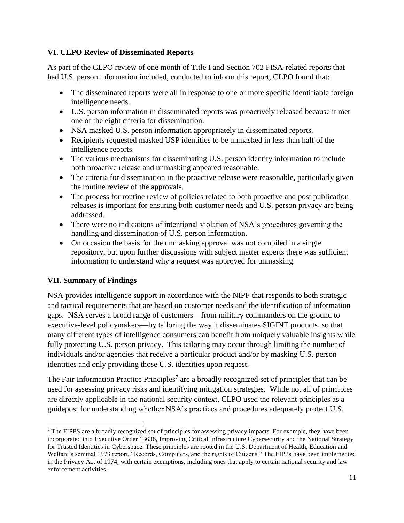## **VI. CLPO Review of Disseminated Reports**

As part of the CLPO review of one month of Title I and Section 702 FISA-related reports that had U.S. person information included, conducted to inform this report, CLPO found that:

- The disseminated reports were all in response to one or more specific identifiable foreign intelligence needs.
- U.S. person information in disseminated reports was proactively released because it met one of the eight criteria for dissemination.
- NSA masked U.S. person information appropriately in disseminated reports.
- Recipients requested masked USP identities to be unmasked in less than half of the intelligence reports.
- The various mechanisms for disseminating U.S. person identity information to include both proactive release and unmasking appeared reasonable.
- The criteria for dissemination in the proactive release were reasonable, particularly given the routine review of the approvals.
- The process for routine review of policies related to both proactive and post publication releases is important for ensuring both customer needs and U.S. person privacy are being addressed.
- There were no indications of intentional violation of NSA's procedures governing the handling and dissemination of U.S. person information.
- On occasion the basis for the unmasking approval was not compiled in a single repository, but upon further discussions with subject matter experts there was sufficient information to understand why a request was approved for unmasking.

# **VII. Summary of Findings**

NSA provides intelligence support in accordance with the NIPF that responds to both strategic and tactical requirements that are based on customer needs and the identification of information gaps. NSA serves a broad range of customers—from military commanders on the ground to executive-level policymakers—by tailoring the way it disseminates SIGINT products, so that many different types of intelligence consumers can benefit from uniquely valuable insights while fully protecting U.S. person privacy. This tailoring may occur through limiting the number of individuals and/or agencies that receive a particular product and/or by masking U.S. person identities and only providing those U.S. identities upon request.

The Fair Information Practice Principles<sup>7</sup> are a broadly recognized set of principles that can be used for assessing privacy risks and identifying mitigation strategies. While not all of principles are directly applicable in the national security context, CLPO used the relevant principles as a guidepost for understanding whether NSA's practices and procedures adequately protect U.S.

<sup>&</sup>lt;sup>7</sup> The FIPPS are a broadly recognized set of principles for assessing privacy impacts. For example, they have been incorporated into Executive Order 13636, Improving Critical Infrastructure Cybersecurity and the National Strategy for Trusted Identities in Cyberspace. These principles are rooted in the U.S. Department of Health, Education and Welfare's seminal 1973 report, "Records, Computers, and the rights of Citizens." The FIPPs have been implemented in the Privacy Act of 1974, with certain exemptions, including ones that apply to certain national security and law enforcement activities.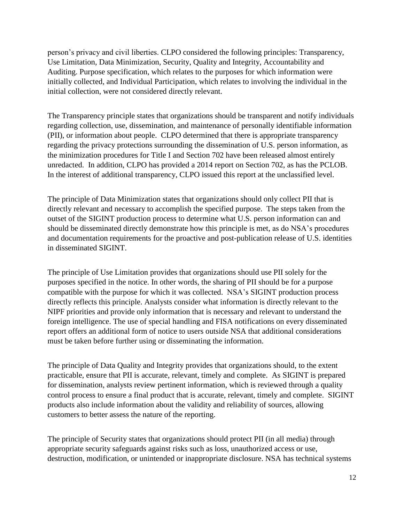person's privacy and civil liberties. CLPO considered the following principles: Transparency, Use Limitation, Data Minimization, Security, Quality and Integrity, Accountability and Auditing. Purpose specification, which relates to the purposes for which information were initially collected, and Individual Participation, which relates to involving the individual in the initial collection, were not considered directly relevant.

The Transparency principle states that organizations should be transparent and notify individuals regarding collection, use, dissemination, and maintenance of personally identifiable information (PII), or information about people. CLPO determined that there is appropriate transparency regarding the privacy protections surrounding the dissemination of U.S. person information, as the minimization procedures for Title I and Section 702 have been released almost entirely unredacted. In addition, CLPO has provided a 2014 report on Section 702, as has the PCLOB. In the interest of additional transparency, CLPO issued this report at the unclassified level.

The principle of Data Minimization states that organizations should only collect PII that is directly relevant and necessary to accomplish the specified purpose. The steps taken from the outset of the SIGINT production process to determine what U.S. person information can and should be disseminated directly demonstrate how this principle is met, as do NSA's procedures and documentation requirements for the proactive and post-publication release of U.S. identities in disseminated SIGINT.

The principle of Use Limitation provides that organizations should use PII solely for the purposes specified in the notice. In other words, the sharing of PII should be for a purpose compatible with the purpose for which it was collected. NSA's SIGINT production process directly reflects this principle. Analysts consider what information is directly relevant to the NIPF priorities and provide only information that is necessary and relevant to understand the foreign intelligence. The use of special handling and FISA notifications on every disseminated report offers an additional form of notice to users outside NSA that additional considerations must be taken before further using or disseminating the information.

The principle of Data Quality and Integrity provides that organizations should, to the extent practicable, ensure that PII is accurate, relevant, timely and complete. As SIGINT is prepared for dissemination, analysts review pertinent information, which is reviewed through a quality control process to ensure a final product that is accurate, relevant, timely and complete. SIGINT products also include information about the validity and reliability of sources, allowing customers to better assess the nature of the reporting.

The principle of Security states that organizations should protect PII (in all media) through appropriate security safeguards against risks such as loss, unauthorized access or use, destruction, modification, or unintended or inappropriate disclosure. NSA has technical systems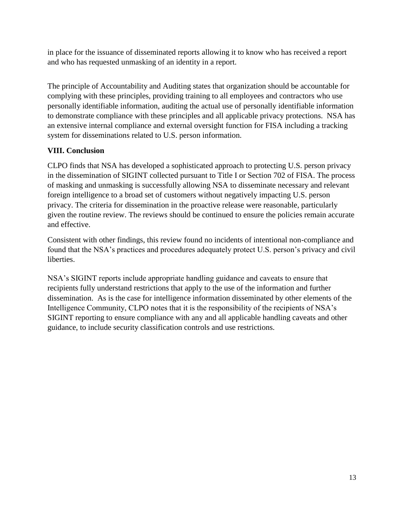in place for the issuance of disseminated reports allowing it to know who has received a report and who has requested unmasking of an identity in a report.

The principle of Accountability and Auditing states that organization should be accountable for complying with these principles, providing training to all employees and contractors who use personally identifiable information, auditing the actual use of personally identifiable information to demonstrate compliance with these principles and all applicable privacy protections. NSA has an extensive internal compliance and external oversight function for FISA including a tracking system for disseminations related to U.S. person information.

# **VIII. Conclusion**

CLPO finds that NSA has developed a sophisticated approach to protecting U.S. person privacy in the dissemination of SIGINT collected pursuant to Title I or Section 702 of FISA. The process of masking and unmasking is successfully allowing NSA to disseminate necessary and relevant foreign intelligence to a broad set of customers without negatively impacting U.S. person privacy. The criteria for dissemination in the proactive release were reasonable, particularly given the routine review. The reviews should be continued to ensure the policies remain accurate and effective.

Consistent with other findings, this review found no incidents of intentional non-compliance and found that the NSA's practices and procedures adequately protect U.S. person's privacy and civil liberties.

NSA's SIGINT reports include appropriate handling guidance and caveats to ensure that recipients fully understand restrictions that apply to the use of the information and further dissemination. As is the case for intelligence information disseminated by other elements of the Intelligence Community, CLPO notes that it is the responsibility of the recipients of NSA's SIGINT reporting to ensure compliance with any and all applicable handling caveats and other guidance, to include security classification controls and use restrictions.